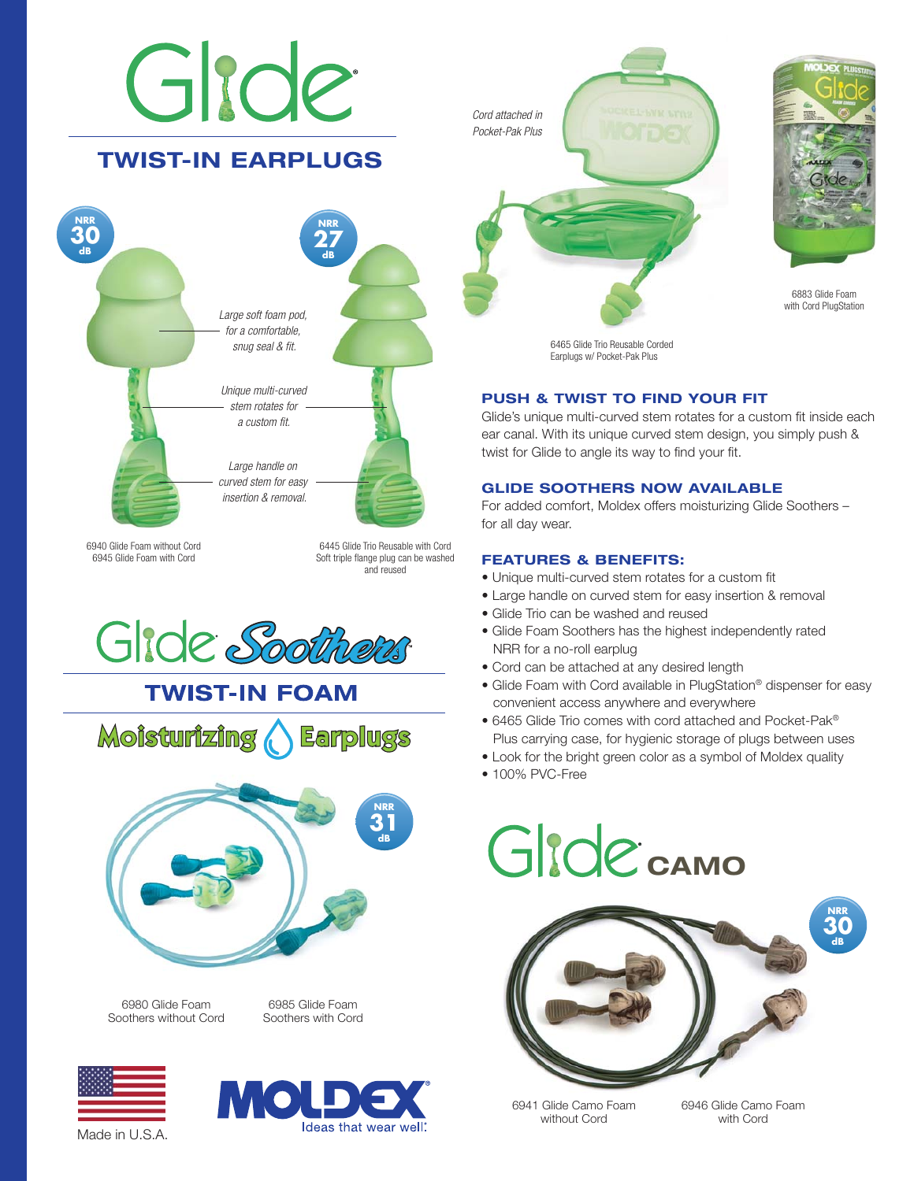## Girde **TWIST-IN EARPLUGS NRR 30 NRR 27 dB dB** *Large soft foam pod, for a comfortable, snug seal & fit. Unique multi-curved stem rotates for a custom fit. Large handle on curved stem for easy insertion & removal.*



6445 Glide Trio Reusable with Cord Soft triple flange plug can be washed and reused

Gide Soothers





6980 Glide Foam Soothers without Cord

6985 Glide Foam Soothers with Cord





*Cord attached in Pocket-Pak Plus*



6883 Glide Foam with Cord PlugStation

**NRR 30 dB**

6465 Glide Trio Reusable Corded Earplugs w/ Pocket-Pak Plus

#### **PUSH & TWIST TO FIND YOUR FIT**

Glide's unique multi-curved stem rotates for a custom fit inside each ear canal. With its unique curved stem design, you simply push & twist for Glide to angle its way to find your fit.

#### **GLIDE SOOTHERS NOW AVAILABLE**

For added comfort, Moldex offers moisturizing Glide Soothers – for all day wear.

#### **FEATURES & BENEFITS:**

- Unique multi-curved stem rotates for a custom fit
- Large handle on curved stem for easy insertion & removal
- Glide Trio can be washed and reused
- Glide Foam Soothers has the highest independently rated NRR for a no-roll earplug
- Cord can be attached at any desired length
- Glide Foam with Cord available in PlugStation® dispenser for easy convenient access anywhere and everywhere
- 6465 Glide Trio comes with cord attached and Pocket-Pak® Plus carrying case, for hygienic storage of plugs between uses
- Look for the bright green color as a symbol of Moldex quality
- 100% PVC-Free



6941 Glide Camo Foam without Cord

6946 Glide Camo Foam with Cord